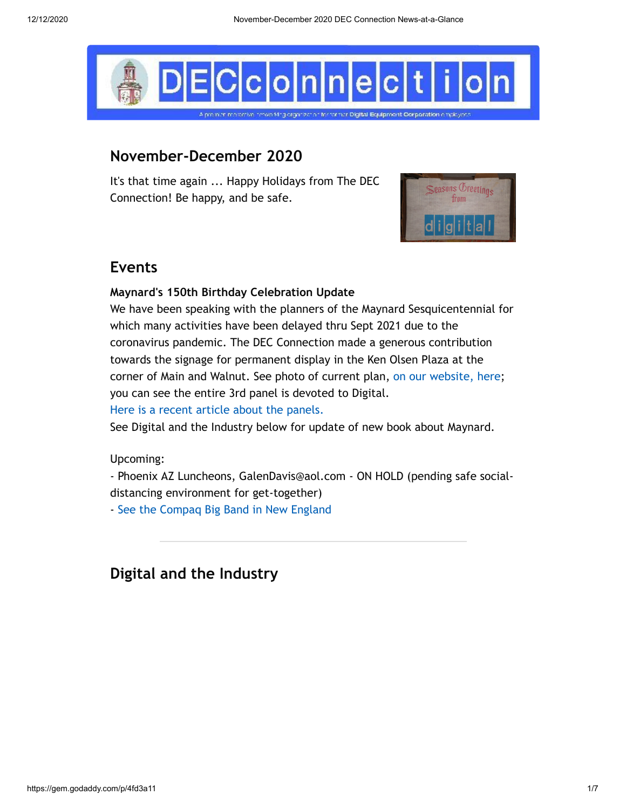

# **November-December 2020**

It's that time again ... Happy Holidays from The DEC Connection! Be happy, and be safe.



# **Events**

#### **Maynard's 150th Birthday Celebration Update**

We have been speaking with the planners of the Maynard Sesquicentennial for which many activities have been delayed thru Sept 2021 due to the coronavirus pandemic. The DEC Connection made a generous contribution towards the signage for permanent display in the Ken Olsen Plaza at the corner of Main and Walnut. See photo of current plan, [on our website, here;](http://www.decconnection.org/maynard-ma-150/Mill-Marker-sbs-layout7.3.20.pdf) you can see the entire 3rd panel is devoted to Digital. [Here is a recent article about the panels.](http://www.decconnection.org/articles/MaynardPanels.pdf)

See Digital and the Industry below for update of new book about Maynard.

Upcoming:

- Phoenix AZ Luncheons, GalenDavis@aol.com - ON HOLD (pending safe socialdistancing environment for get-together)

- [See the Compaq Big Band in New England](http://www.compaqbigband.com/gigs.php)

# **Digital and the Industry**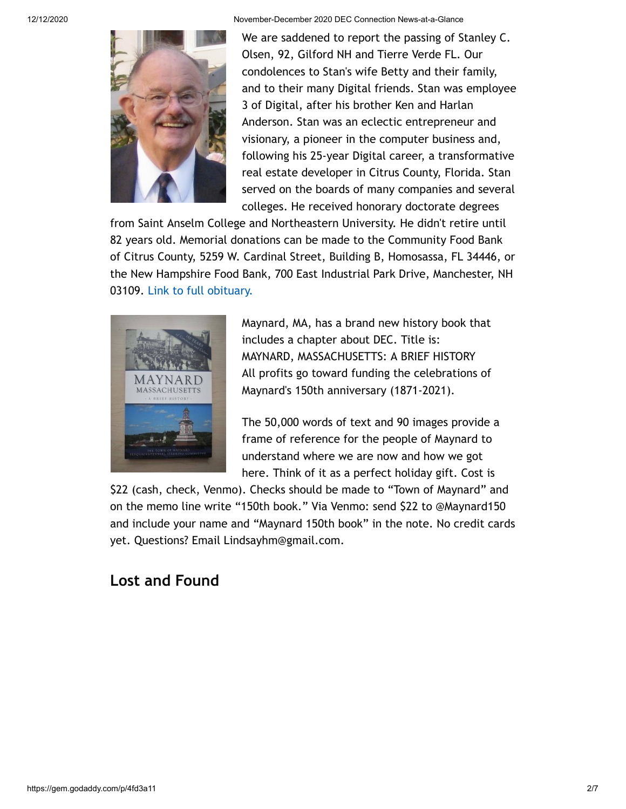12/12/2020 November-December 2020 DEC Connection News-at-a-Glance

We are saddened to report the passing of Stanley C. Olsen, 92, Gilford NH and Tierre Verde FL. Our condolences to Stan's wife Betty and their family, and to their many Digital friends. Stan was employee 3 of Digital, after his brother Ken and Harlan Anderson. Stan was an eclectic entrepreneur and visionary, a pioneer in the computer business and, following his 25-year Digital career, a transformative real estate developer in Citrus County, Florida. Stan served on the boards of many companies and several colleges. He received honorary doctorate degrees

from Saint Anselm College and Northeastern University. He didn't retire until 82 years old. Memorial donations can be made to the Community Food Bank of Citrus County, 5259 W. Cardinal Street, Building B, Homosassa, FL 34446, or the New Hampshire Food Bank, 700 East Industrial Park Drive, Manchester, NH 03109. [Link to full obituary.](https://www.legacy.com/obituaries/unionleader/obituary.aspx?n=stanley-c-olsen&pid=196895248)



Maynard, MA, has a brand new history book that includes a chapter about DEC. Title is: MAYNARD, MASSACHUSETTS: A BRIEF HISTORY All profits go toward funding the celebrations of Maynard's 150th anniversary (1871-2021).

The 50,000 words of text and 90 images provide a frame of reference for the people of Maynard to understand where we are now and how we got here. Think of it as a perfect holiday gift. Cost is

\$22 (cash, check, Venmo). Checks should be made to "Town of Maynard" and on the memo line write "150th book." Via Venmo: send \$22 to @Maynard150 and include your name and "Maynard 150th book" in the note. No credit cards yet. Questions? Email Lindsayhm@gmail.com.

# **Lost and Found**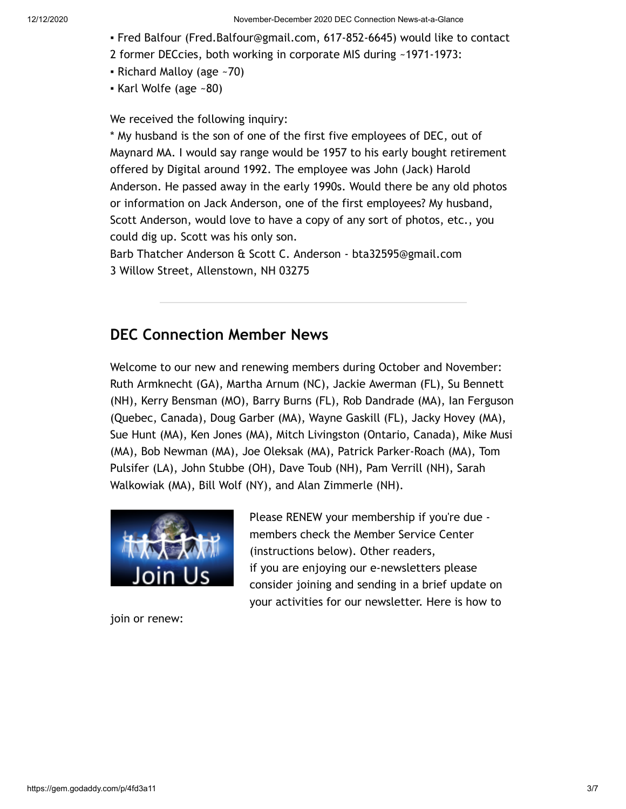#### 12/12/2020 November-December 2020 DEC Connection News-at-a-Glance

- Fred Balfour (Fred.Balfour@gmail.com, 617-852-6645) would like to contact
- 2 former DECcies, both working in corporate MIS during ~1971-1973:
- Richard Malloy (age  $-70$ )
- $\bullet$  Karl Wolfe (age ~80)

We received the following inquiry:

\* My husband is the son of one of the first five employees of DEC, out of Maynard MA. I would say range would be 1957 to his early bought retirement offered by Digital around 1992. The employee was John (Jack) Harold Anderson. He passed away in the early 1990s. Would there be any old photos or information on Jack Anderson, one of the first employees? My husband, Scott Anderson, would love to have a copy of any sort of photos, etc., you could dig up. Scott was his only son.

Barb Thatcher Anderson & Scott C. Anderson - bta32595@gmail.com 3 Willow Street, Allenstown, NH 03275

# **DEC Connection Member News**

Welcome to our new and renewing members during October and November: Ruth Armknecht (GA), Martha Arnum (NC), Jackie Awerman (FL), Su Bennett (NH), Kerry Bensman (MO), Barry Burns (FL), Rob Dandrade (MA), Ian Ferguson (Quebec, Canada), Doug Garber (MA), Wayne Gaskill (FL), Jacky Hovey (MA), Sue Hunt (MA), Ken Jones (MA), Mitch Livingston (Ontario, Canada), Mike Musi (MA), Bob Newman (MA), Joe Oleksak (MA), Patrick Parker-Roach (MA), Tom Pulsifer (LA), John Stubbe (OH), Dave Toub (NH), Pam Verrill (NH), Sarah Walkowiak (MA), Bill Wolf (NY), and Alan Zimmerle (NH).



join or renew:

Please RENEW your membership if you're due members check the Member Service Center (instructions below). Other readers, if you are enjoying our e-newsletters please consider joining and sending in a brief update on your activities for our newsletter. Here is how to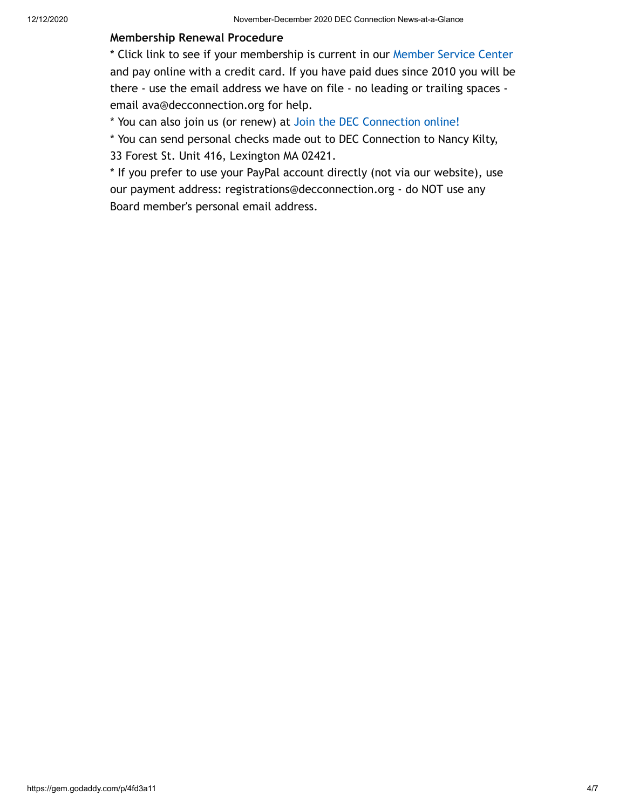#### **Membership Renewal Procedure**

\* Click link to see if your membership is current in our [Member Service Center](http://www.decconnection.org/msclogin.php) and pay online with a credit card. If you have paid dues since 2010 you will be there - use the email address we have on file - no leading or trailing spaces email ava@decconnection.org for help.

\* You can also join us (or renew) at [Join the DEC Connection online!](http://www.decconnection.org/join-online.htm)

\* You can send personal checks made out to DEC Connection to Nancy Kilty, 33 Forest St. Unit 416, Lexington MA 02421.

\* If you prefer to use your PayPal account directly (not via our website), use our payment address: registrations@decconnection.org - do NOT use any Board member's personal email address.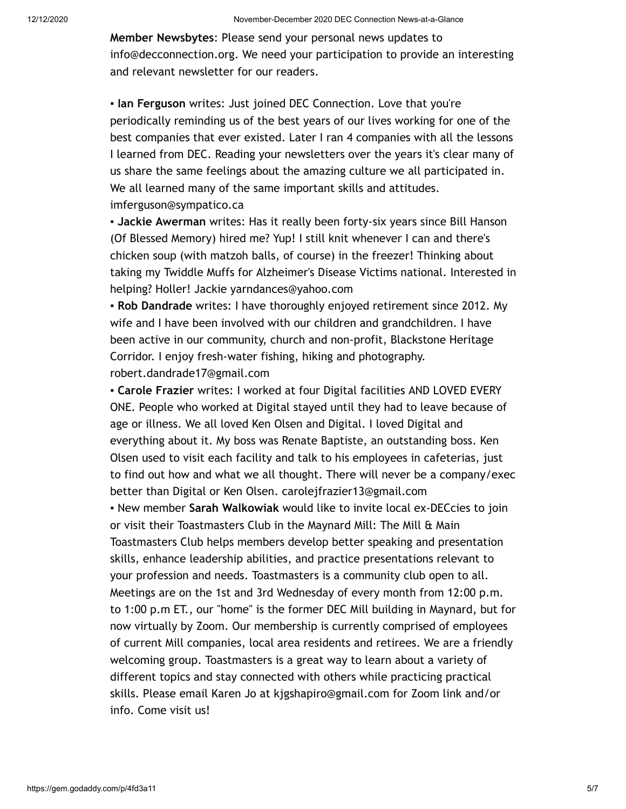**Member Newsbytes**: Please send your personal news updates to info@decconnection.org. We need your participation to provide an interesting and relevant newsletter for our readers.

▪ **Ian Ferguson** writes: Just joined DEC Connection. Love that you're periodically reminding us of the best years of our lives working for one of the best companies that ever existed. Later I ran 4 companies with all the lessons I learned from DEC. Reading your newsletters over the years it's clear many of us share the same feelings about the amazing culture we all participated in. We all learned many of the same important skills and attitudes. imferguson@sympatico.ca

▪ **Jackie Awerman** writes: Has it really been forty-six years since Bill Hanson (Of Blessed Memory) hired me? Yup! I still knit whenever I can and there's chicken soup (with matzoh balls, of course) in the freezer! Thinking about taking my Twiddle Muffs for Alzheimer's Disease Victims national. Interested in helping? Holler! Jackie yarndances@yahoo.com

▪ **Rob Dandrade** writes: I have thoroughly enjoyed retirement since 2012. My wife and I have been involved with our children and grandchildren. I have been active in our community, church and non-profit, Blackstone Heritage Corridor. I enjoy fresh-water fishing, hiking and photography. robert.dandrade17@gmail.com

▪ **Carole Frazier** writes: I worked at four Digital facilities AND LOVED EVERY ONE. People who worked at Digital stayed until they had to leave because of age or illness. We all loved Ken Olsen and Digital. I loved Digital and everything about it. My boss was Renate Baptiste, an outstanding boss. Ken Olsen used to visit each facility and talk to his employees in cafeterias, just to find out how and what we all thought. There will never be a company/exec better than Digital or Ken Olsen. carolejfrazier13@gmail.com

▪ New member **Sarah Walkowiak** would like to invite local ex-DECcies to join or visit their Toastmasters Club in the Maynard Mill: The Mill & Main Toastmasters Club helps members develop better speaking and presentation skills, enhance leadership abilities, and practice presentations relevant to your profession and needs. Toastmasters is a community club open to all. Meetings are on the 1st and 3rd Wednesday of every month from 12:00 p.m. to 1:00 p.m ET., our "home" is the former DEC Mill building in Maynard, but for now virtually by Zoom. Our membership is currently comprised of employees of current Mill companies, local area residents and retirees. We are a friendly welcoming group. Toastmasters is a great way to learn about a variety of different topics and stay connected with others while practicing practical skills. Please email Karen Jo at kjgshapiro@gmail.com for Zoom link and/or info. Come visit us!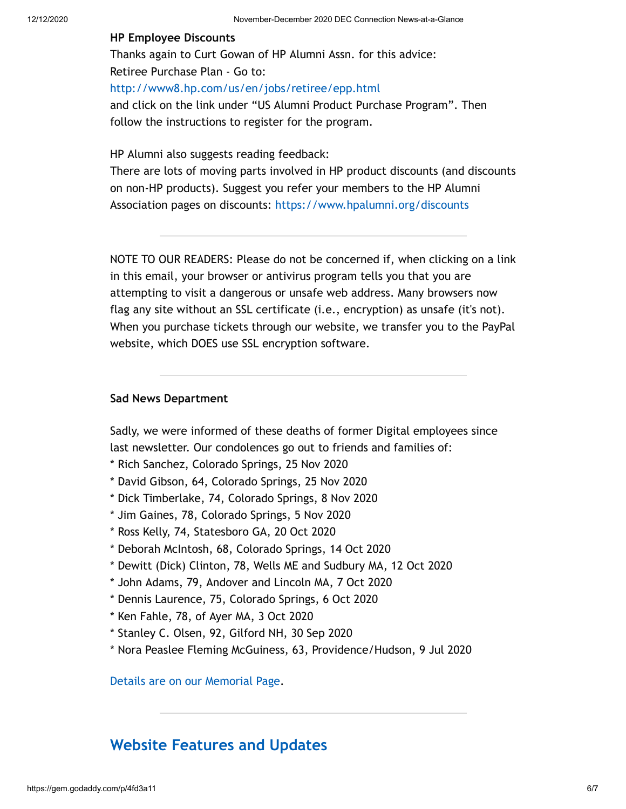#### **HP Employee Discounts**

Thanks again to Curt Gowan of HP Alumni Assn. for this advice: Retiree Purchase Plan - Go to: <http://www8.hp.com/us/en/jobs/retiree/epp.html> and click on the link under "US Alumni Product Purchase Program". Then follow the instructions to register for the program.

HP Alumni also suggests reading feedback:

There are lots of moving parts involved in HP product discounts (and discounts on non-HP products). Suggest you refer your members to the HP Alumni Association pages on discounts: <https://www.hpalumni.org/discounts>

NOTE TO OUR READERS: Please do not be concerned if, when clicking on a link in this email, your browser or antivirus program tells you that you are attempting to visit a dangerous or unsafe web address. Many browsers now flag any site without an SSL certificate (i.e., encryption) as unsafe (it's not). When you purchase tickets through our website, we transfer you to the PayPal website, which DOES use SSL encryption software.

#### **Sad News Department**

Sadly, we were informed of these deaths of former Digital employees since last newsletter. Our condolences go out to friends and families of:

- \* Rich Sanchez, Colorado Springs, 25 Nov 2020
- \* David Gibson, 64, Colorado Springs, 25 Nov 2020
- \* Dick Timberlake, 74, Colorado Springs, 8 Nov 2020
- \* Jim Gaines, 78, Colorado Springs, 5 Nov 2020
- \* Ross Kelly, 74, Statesboro GA, 20 Oct 2020
- \* Deborah McIntosh, 68, Colorado Springs, 14 Oct 2020
- \* Dewitt (Dick) Clinton, 78, Wells ME and Sudbury MA, 12 Oct 2020
- \* John Adams, 79, Andover and Lincoln MA, 7 Oct 2020
- \* Dennis Laurence, 75, Colorado Springs, 6 Oct 2020
- \* Ken Fahle, 78, of Ayer MA, 3 Oct 2020
- \* Stanley C. Olsen, 92, Gilford NH, 30 Sep 2020
- \* Nora Peaslee Fleming McGuiness, 63, Providence/Hudson, 9 Jul 2020

[Details are on our Memorial Page](http://www.decconnection.org/memorials.htm).

### **[Website Features and Updates](http://www.decconnection.org/)**